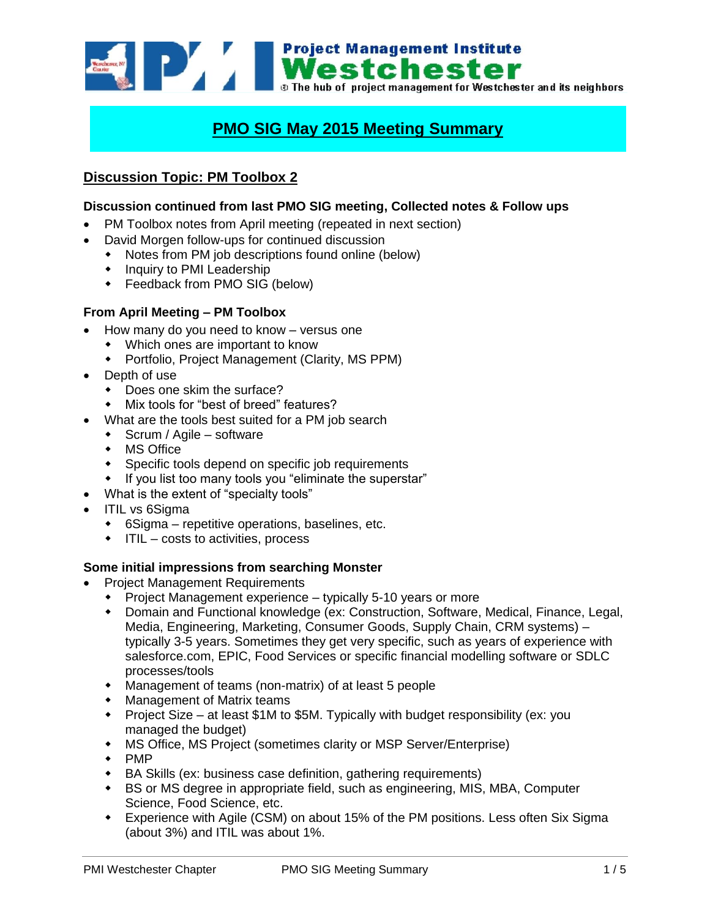

# **PMO SIG May 2015 Meeting Summary**

# **Discussion Topic: PM Toolbox 2**

# **Discussion continued from last PMO SIG meeting, Collected notes & Follow ups**

- PM Toolbox notes from April meeting (repeated in next section)
- David Morgen follow-ups for continued discussion
	- Notes from PM job descriptions found online (below)
	- Inquiry to PMI Leadership
	- Feedback from PMO SIG (below)

### **From April Meeting – PM Toolbox**

- How many do you need to know versus one
	- Which ones are important to know
	- Portfolio, Project Management (Clarity, MS PPM)
- Depth of use
	- Does one skim the surface?
	- Mix tools for "best of breed" features?
	- What are the tools best suited for a PM job search
	- $\bullet$  Scrum / Agile software
	- MS Office
	- Specific tools depend on specific job requirements
	- If you list too many tools you "eliminate the superstar"
- What is the extent of "specialty tools"
- ITIL vs 6Sigma
	- 6Sigma repetitive operations, baselines, etc.
	- $\cdot$  ITIL costs to activities, process

### **Some initial impressions from searching Monster**

- Project Management Requirements
	- Project Management experience typically 5-10 years or more
	- Domain and Functional knowledge (ex: Construction, Software, Medical, Finance, Legal, Media, Engineering, Marketing, Consumer Goods, Supply Chain, CRM systems) – typically 3-5 years. Sometimes they get very specific, such as years of experience with salesforce.com, EPIC, Food Services or specific financial modelling software or SDLC processes/tools
	- Management of teams (non-matrix) of at least 5 people
	- Management of Matrix teams
	- Project Size at least \$1M to \$5M. Typically with budget responsibility (ex: you managed the budget)
	- MS Office, MS Project (sometimes clarity or MSP Server/Enterprise)
	- $\leftarrow$  PMP
	- BA Skills (ex: business case definition, gathering requirements)
	- BS or MS degree in appropriate field, such as engineering, MIS, MBA, Computer Science, Food Science, etc.
	- Experience with Agile (CSM) on about 15% of the PM positions. Less often Six Sigma (about 3%) and ITIL was about 1%.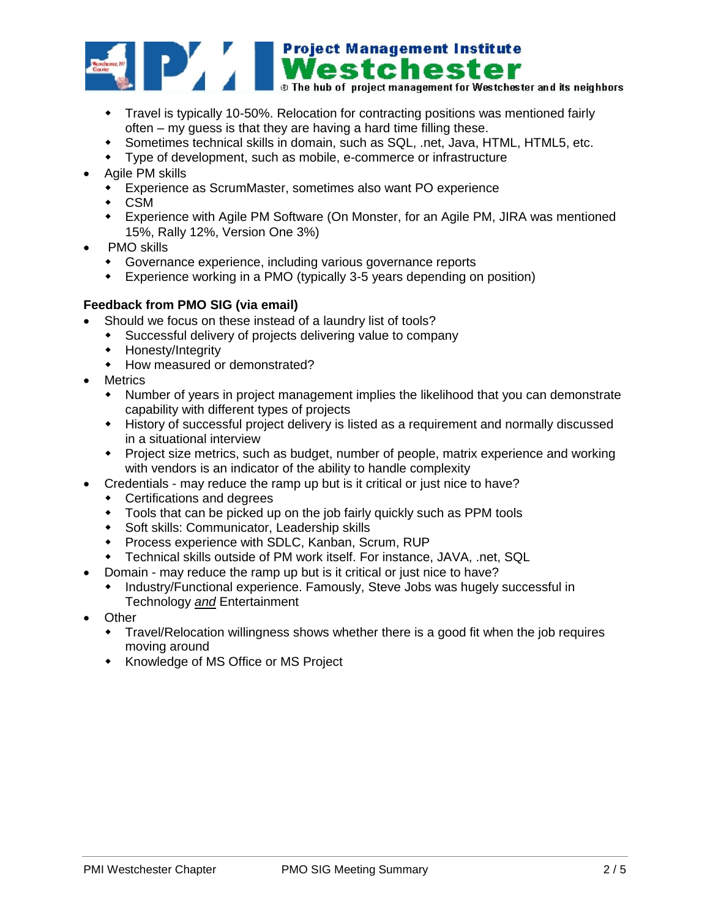

- Travel is typically 10-50%. Relocation for contracting positions was mentioned fairly often – my guess is that they are having a hard time filling these.
- Sometimes technical skills in domain, such as SQL, .net, Java, HTML, HTML5, etc.
- Type of development, such as mobile, e-commerce or infrastructure
- Agile PM skills
	- Experience as ScrumMaster, sometimes also want PO experience
	- CSM
	- Experience with Agile PM Software (On Monster, for an Agile PM, JIRA was mentioned 15%, Rally 12%, Version One 3%)
- PMO skills
	- Governance experience, including various governance reports
	- Experience working in a PMO (typically 3-5 years depending on position)

# **Feedback from PMO SIG (via email)**

- Should we focus on these instead of a laundry list of tools?
- Successful delivery of projects delivering value to company
	- Honesty/Integrity
	- How measured or demonstrated?
- Metrics
	- Number of years in project management implies the likelihood that you can demonstrate capability with different types of projects
	- History of successful project delivery is listed as a requirement and normally discussed in a situational interview
	- Project size metrics, such as budget, number of people, matrix experience and working with vendors is an indicator of the ability to handle complexity
- Credentials may reduce the ramp up but is it critical or just nice to have?
	- Certifications and degrees
	- Tools that can be picked up on the job fairly quickly such as PPM tools
	- Soft skills: Communicator, Leadership skills
	- Process experience with SDLC, Kanban, Scrum, RUP
	- Technical skills outside of PM work itself. For instance, JAVA, .net, SQL
- Domain may reduce the ramp up but is it critical or just nice to have?
	- Industry/Functional experience. Famously, Steve Jobs was hugely successful in Technology *and* Entertainment
- Other
	- Travel/Relocation willingness shows whether there is a good fit when the job requires moving around
	- **\*** Knowledge of MS Office or MS Project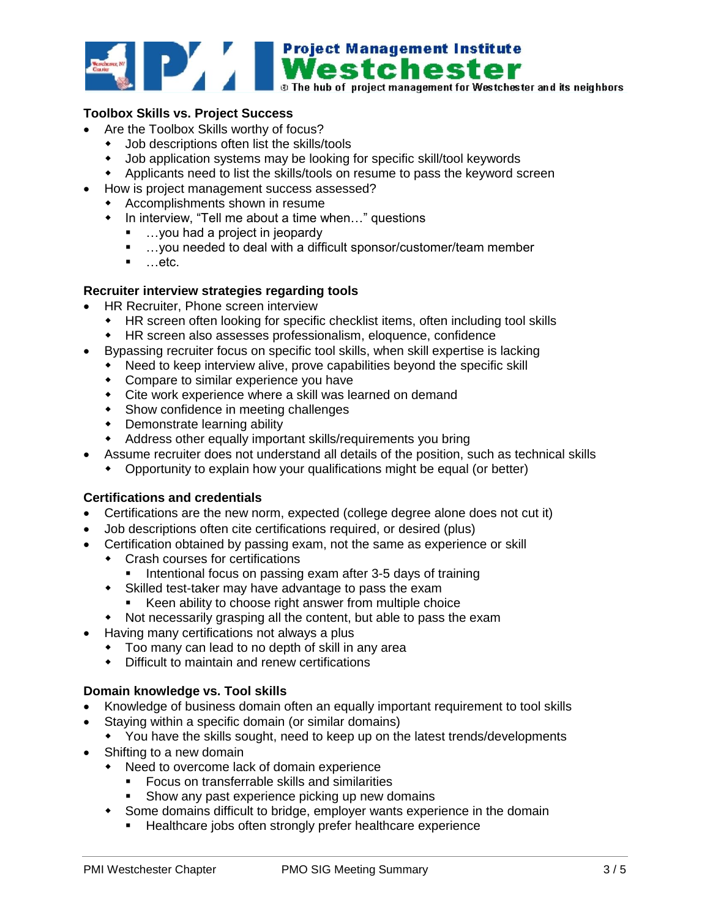

# **Toolbox Skills vs. Project Success**

- Are the Toolbox Skills worthy of focus?
	- Job descriptions often list the skills/tools
	- Job application systems may be looking for specific skill/tool keywords
	- Applicants need to list the skills/tools on resume to pass the keyword screen
	- How is project management success assessed?
	- Accomplishments shown in resume
		- In interview, "Tell me about a time when..." questions
			- …you had a project in jeopardy
			- …you needed to deal with a difficult sponsor/customer/team member
			- $\blacksquare$  ...etc.

## **Recruiter interview strategies regarding tools**

- HR Recruiter, Phone screen interview
	- HR screen often looking for specific checklist items, often including tool skills
	- HR screen also assesses professionalism, eloquence, confidence
- Bypassing recruiter focus on specific tool skills, when skill expertise is lacking
	- Need to keep interview alive, prove capabilities beyond the specific skill
	- Compare to similar experience you have
	- Cite work experience where a skill was learned on demand
	- **\*** Show confidence in meeting challenges
	- Demonstrate learning ability
	- Address other equally important skills/requirements you bring
- Assume recruiter does not understand all details of the position, such as technical skills
	- Opportunity to explain how your qualifications might be equal (or better)

# **Certifications and credentials**

- Certifications are the new norm, expected (college degree alone does not cut it)
- Job descriptions often cite certifications required, or desired (plus)
- Certification obtained by passing exam, not the same as experience or skill
	- Crash courses for certifications
		- Intentional focus on passing exam after 3-5 days of training
	- Skilled test-taker may have advantage to pass the exam
		- Keen ability to choose right answer from multiple choice
	- Not necessarily grasping all the content, but able to pass the exam
- Having many certifications not always a plus
	- Too many can lead to no depth of skill in any area
	- Difficult to maintain and renew certifications

## **Domain knowledge vs. Tool skills**

- Knowledge of business domain often an equally important requirement to tool skills
- Staying within a specific domain (or similar domains)
	- You have the skills sought, need to keep up on the latest trends/developments
- Shifting to a new domain
	- Need to overcome lack of domain experience
		- Focus on transferrable skills and similarities
		- **Show any past experience picking up new domains**
	- Some domains difficult to bridge, employer wants experience in the domain
		- **Healthcare jobs often strongly prefer healthcare experience**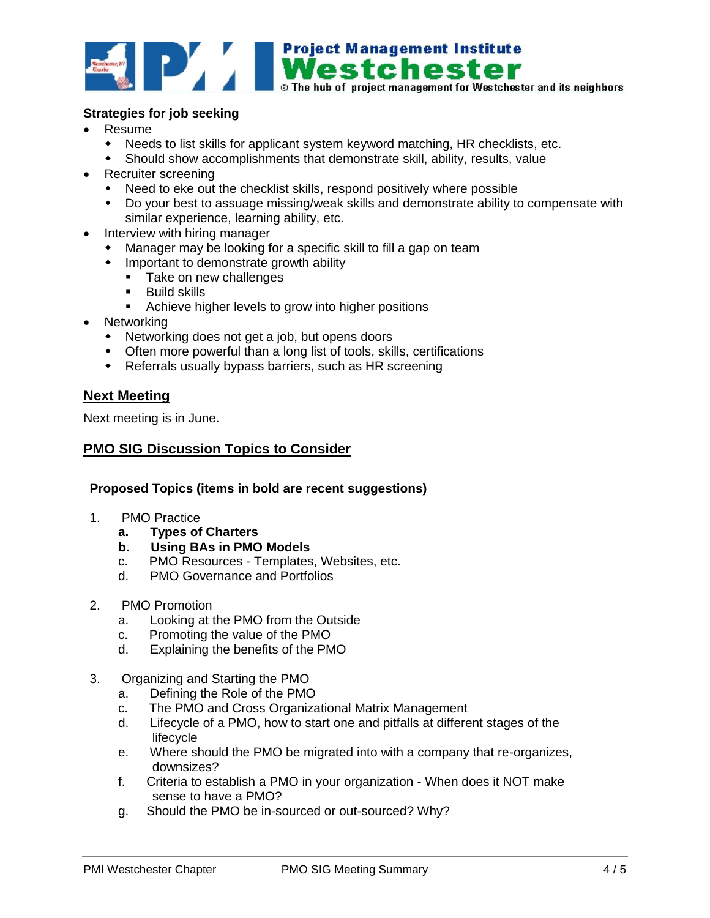

## **Strategies for job seeking**

- Resume
	- Needs to list skills for applicant system keyword matching, HR checklists, etc.
	- Should show accomplishments that demonstrate skill, ability, results, value
- Recruiter screening
	- Need to eke out the checklist skills, respond positively where possible
	- Do your best to assuage missing/weak skills and demonstrate ability to compensate with similar experience, learning ability, etc.
- Interview with hiring manager
	- Manager may be looking for a specific skill to fill a gap on team
	- Important to demonstrate growth ability
		- Take on new challenges
		- **Build skills**
		- **EXEC** Achieve higher levels to grow into higher positions
- Networking
	- Networking does not get a job, but opens doors
	- Often more powerful than a long list of tools, skills, certifications
	- Referrals usually bypass barriers, such as HR screening

## **Next Meeting**

Next meeting is in June.

## **PMO SIG Discussion Topics to Consider**

#### **Proposed Topics (items in bold are recent suggestions)**

- 1. PMO Practice
	- **a. Types of Charters**
	- **b. Using BAs in PMO Models**
	- c. PMO Resources Templates, Websites, etc.
	- d. PMO Governance and Portfolios
- 2. PMO Promotion
	- a. Looking at the PMO from the Outside
	- c. Promoting the value of the PMO
	- d. Explaining the benefits of the PMO
- 3. Organizing and Starting the PMO
	- a. Defining the Role of the PMO
	- c. The PMO and Cross Organizational Matrix Management
	- d. Lifecycle of a PMO, how to start one and pitfalls at different stages of the lifecycle
	- e. Where should the PMO be migrated into with a company that re-organizes, downsizes?
	- f. Criteria to establish a PMO in your organization When does it NOT make sense to have a PMO?
	- g. Should the PMO be in-sourced or out-sourced? Why?